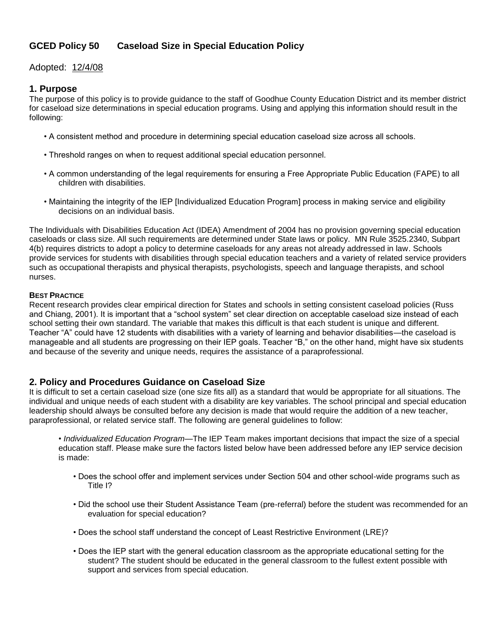## **GCED Policy 50 Caseload Size in Special Education Policy**

## Adopted: 12/4/08

## **1. Purpose**

The purpose of this policy is to provide guidance to the staff of Goodhue County Education District and its member district for caseload size determinations in special education programs. Using and applying this information should result in the following:

- A consistent method and procedure in determining special education caseload size across all schools.
- Threshold ranges on when to request additional special education personnel.
- A common understanding of the legal requirements for ensuring a Free Appropriate Public Education (FAPE) to all children with disabilities.
- Maintaining the integrity of the IEP [Individualized Education Program] process in making service and eligibility decisions on an individual basis.

The Individuals with Disabilities Education Act (IDEA) Amendment of 2004 has no provision governing special education caseloads or class size. All such requirements are determined under State laws or policy. MN Rule 3525.2340, Subpart 4(b) requires districts to adopt a policy to determine caseloads for any areas not already addressed in law. Schools provide services for students with disabilities through special education teachers and a variety of related service providers such as occupational therapists and physical therapists, psychologists, speech and language therapists, and school nurses.

#### **BEST PRACTICE**

Recent research provides clear empirical direction for States and schools in setting consistent caseload policies (Russ and Chiang, 2001). It is important that a "school system" set clear direction on acceptable caseload size instead of each school setting their own standard. The variable that makes this difficult is that each student is unique and different. Teacher "A" could have 12 students with disabilities with a variety of learning and behavior disabilities—the caseload is manageable and all students are progressing on their IEP goals. Teacher "B," on the other hand, might have six students and because of the severity and unique needs, requires the assistance of a paraprofessional.

## **2. Policy and Procedures Guidance on Caseload Size**

It is difficult to set a certain caseload size (one size fits all) as a standard that would be appropriate for all situations. The individual and unique needs of each student with a disability are key variables. The school principal and special education leadership should always be consulted before any decision is made that would require the addition of a new teacher, paraprofessional, or related service staff. The following are general guidelines to follow:

- *Individualized Education Program*—The IEP Team makes important decisions that impact the size of a special education staff. Please make sure the factors listed below have been addressed before any IEP service decision is made:
	- Does the school offer and implement services under Section 504 and other school-wide programs such as Title I?
	- Did the school use their Student Assistance Team (pre-referral) before the student was recommended for an evaluation for special education?
	- Does the school staff understand the concept of Least Restrictive Environment (LRE)?
	- Does the IEP start with the general education classroom as the appropriate educational setting for the student? The student should be educated in the general classroom to the fullest extent possible with support and services from special education.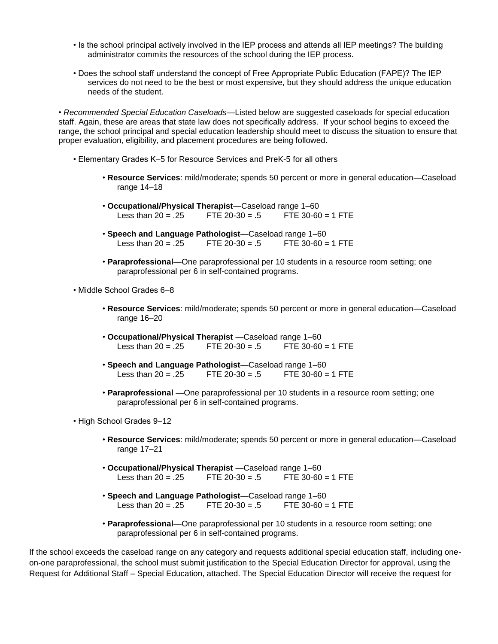- Is the school principal actively involved in the IEP process and attends all IEP meetings? The building administrator commits the resources of the school during the IEP process.
- Does the school staff understand the concept of Free Appropriate Public Education (FAPE)? The IEP services do not need to be the best or most expensive, but they should address the unique education needs of the student.

• *Recommended Special Education Caseloads*—Listed below are suggested caseloads for special education staff. Again, these are areas that state law does not specifically address. If your school begins to exceed the range, the school principal and special education leadership should meet to discuss the situation to ensure that proper evaluation, eligibility, and placement procedures are being followed.

- Elementary Grades K–5 for Resource Services and PreK-5 for all others
	- **Resource Services**: mild/moderate; spends 50 percent or more in general education—Caseload range 14–18
	- **Occupational/Physical Therapist**—Caseload range 1–60 Less than  $20 = .25$  FTE  $20-30 = .5$  FTE  $30-60 = 1$  FTE
	- **Speech and Language Pathologist**—Caseload range 1–60 Less than  $20 = .25$  FTE  $20-30 = .5$  FTE  $30-60 = 1$  FTE
	- **Paraprofessional**—One paraprofessional per 10 students in a resource room setting; one paraprofessional per 6 in self-contained programs.
- Middle School Grades 6–8
	- **Resource Services**: mild/moderate; spends 50 percent or more in general education—Caseload range 16–20
	- **Occupational/Physical Therapist** —Caseload range 1–60 Less than  $20 = .25$  FTE  $20-30 = .5$  FTE  $30-60 = 1$  FTE
	- **Speech and Language Pathologist**—Caseload range 1–60 Less than  $20 = 25$  FTF  $20-30 = 5$  FTF  $30-60 = 1$  FTF
	- **Paraprofessional** —One paraprofessional per 10 students in a resource room setting; one paraprofessional per 6 in self-contained programs.
- High School Grades 9–12
	- **Resource Services**: mild/moderate; spends 50 percent or more in general education—Caseload range 17–21
	- **Occupational/Physical Therapist** —Caseload range 1–60 Less than  $20 = .25$  FTE  $20-30 = .5$  FTE  $30-60 = 1$  FTE
	- **Speech and Language Pathologist**—Caseload range 1–60 Less than  $20 = .25$  FTE  $20-30 = .5$  FTE  $30-60 = 1$  FTE
	- **Paraprofessional**—One paraprofessional per 10 students in a resource room setting; one paraprofessional per 6 in self-contained programs.

If the school exceeds the caseload range on any category and requests additional special education staff, including oneon-one paraprofessional, the school must submit justification to the Special Education Director for approval, using the Request for Additional Staff – Special Education, attached. The Special Education Director will receive the request for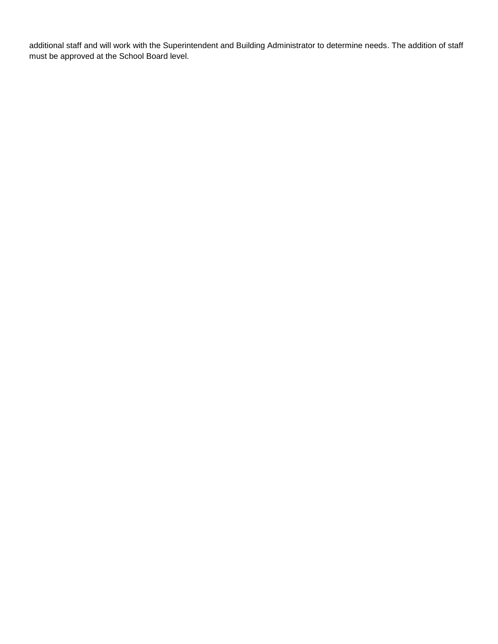additional staff and will work with the Superintendent and Building Administrator to determine needs. The addition of staff must be approved at the School Board level.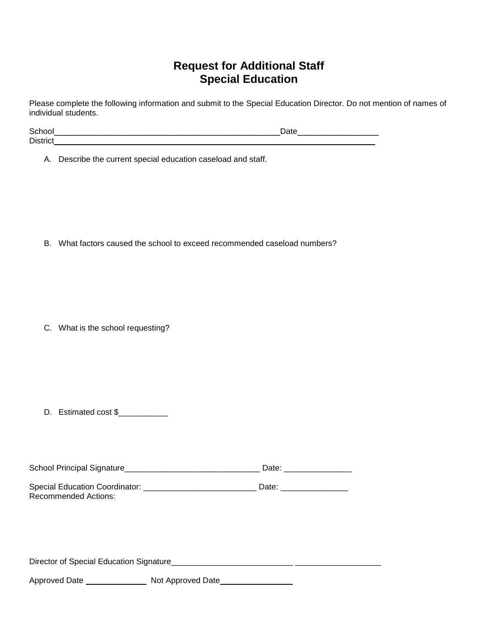# **Request for Additional Staff Special Education**

Please complete the following information and submit to the Special Education Director. Do not mention of names of individual students.

| School          |  |
|-----------------|--|
| <b>District</b> |  |

A. Describe the current special education caseload and staff.

B. What factors caused the school to exceed recommended caseload numbers?

C. What is the school requesting?

D. Estimated cost \$\_\_\_\_\_\_\_\_\_\_\_

Recommended Actions:

| School Principal Signature            | Date: |  |
|---------------------------------------|-------|--|
|                                       |       |  |
| <b>Special Education Coordinator:</b> | Date: |  |

Director of Special Education Signature\_\_\_\_\_\_\_\_\_\_\_\_\_\_\_\_\_\_\_\_\_\_\_\_\_\_\_ \_\_\_\_\_\_\_\_\_\_\_\_\_\_\_\_\_\_\_

Approved Date Not Approved Date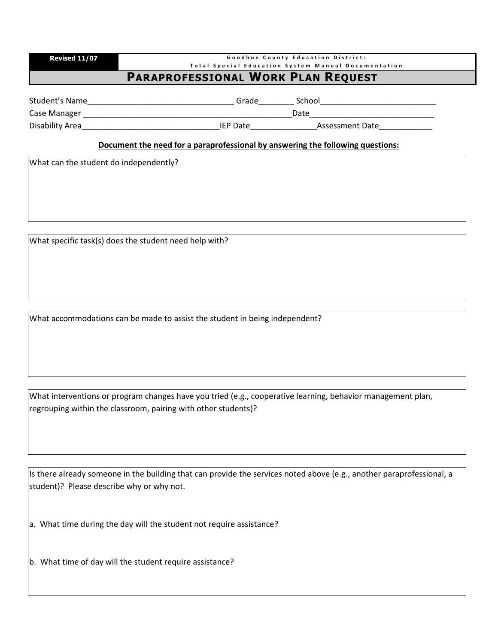| Revised 11/07                             | Goodhue County Education District:                  |  |
|-------------------------------------------|-----------------------------------------------------|--|
|                                           | Total Special Education System Manual Documentation |  |
| <b>PARAPROFESSIONAL WORK PLAN REQUEST</b> |                                                     |  |
|                                           |                                                     |  |

| student:<br>Name | $- - -$ |      |  |
|------------------|---------|------|--|
| `ם כ             |         | Date |  |

Case Manager \_\_\_\_\_\_\_\_\_\_\_\_\_\_\_\_\_\_\_\_\_\_\_\_\_\_\_\_\_\_\_\_\_\_\_\_\_\_\_\_\_\_\_\_\_\_\_Date\_\_\_\_\_\_\_\_\_\_\_\_\_\_\_\_\_\_\_\_\_\_\_\_\_\_\_\_ Disability Area\_\_\_\_\_\_\_\_\_\_\_\_\_\_\_\_\_\_\_\_\_\_\_\_\_\_\_\_\_\_\_IEP Date\_\_\_\_\_\_\_\_\_\_\_\_\_\_\_Assessment Date\_\_\_\_\_\_\_\_\_\_\_\_

## **Document the need for a paraprofessional by answering the following questions:**

What can the student do independently?

What specific task(s) does the student need help with?

What accommodations can be made to assist the student in being independent?

What interventions or program changes have you tried (e.g., cooperative learning, behavior management plan, regrouping within the classroom, pairing with other students)?

Is there already someone in the building that can provide the services noted above (e.g., another paraprofessional, a student)? Please describe why or why not.

a. What time during the day will the student not require assistance?

b. What time of day will the student require assistance?